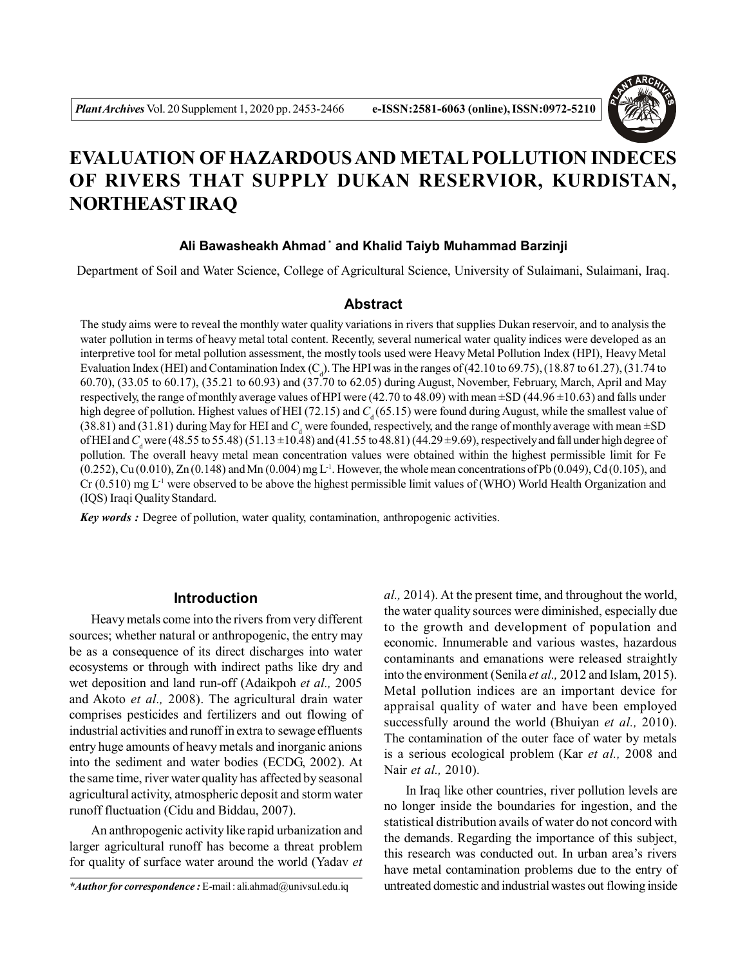

# **EVALUATION OF HAZARDOUS AND METAL POLLUTION INDECES OF RIVERS THAT SUPPLY DUKAN RESERVIOR, KURDISTAN, NORTHEAST IRAQ**

# **Ali Bawasheakh Ahmad \* and Khalid Taiyb Muhammad Barzinji**

Department of Soil and Water Science, College of Agricultural Science, University of Sulaimani, Sulaimani, Iraq.

# **Abstract**

The study aims were to reveal the monthly water quality variations in rivers that supplies Dukan reservoir, and to analysis the water pollution in terms of heavy metal total content. Recently, several numerical water quality indices were developed as an interpretive tool for metal pollution assessment, the mostly tools used were Heavy Metal Pollution Index (HPI), Heavy Metal Evaluation Index (HEI) and Contamination Index (C<sub>d</sub>). The HPI was in the ranges of (42.10 to 69.75), (18.87 to 61.27), (31.74 to 60.70), (33.05 to 60.17), (35.21 to 60.93) and (37.70 to 62.05) during August, November, February, March, April and May respectively, the range of monthly average values of HPI were  $(42.70 \text{ to } 48.09)$  with mean  $\pm$ SD  $(44.96 \pm 10.63)$  and falls under high degree of pollution. Highest values of HEI (72.15) and  $C_d$  (65.15) were found during August, while the smallest value of  $(38.81)$  and  $(31.81)$  during May for HEI and  $C_d$  were founded, respectively, and the range of monthly average with mean  $\pm SD$ of HEI and *C*<sub>d</sub> were (48.55 to 55.48) (51.13 ±10.48) and (41.55 to 48.81) (44.29 ±9.69), respectively and fall under high degree of pollution. The overall heavy metal mean concentration values were obtained within the highest permissible limit for Fe  $(0.252)$ , Cu  $(0.010)$ , Zn  $(0.148)$  and Mn  $(0.004)$  mg L<sup>-1</sup>. However, the whole mean concentrations of Pb  $(0.049)$ , Cd  $(0.105)$ , and Cr  $(0.510)$  mg L<sup>-1</sup> were observed to be above the highest permissible limit values of (WHO) World Health Organization and (IQS) Iraqi Quality Standard.

*Key words :* Degree of pollution, water quality, contamination, anthropogenic activities.

# **Introduction**

Heavy metals come into the rivers from very different sources; whether natural or anthropogenic, the entry may be as a consequence of its direct discharges into water ecosystems or through with indirect paths like dry and wet deposition and land run-off (Adaikpoh *et al.,* 2005 and Akoto *et al.,* 2008). The agricultural drain water comprises pesticides and fertilizers and out flowing of industrial activities and runoff in extra to sewage effluents entry huge amounts of heavy metals and inorganic anions into the sediment and water bodies (ECDG, 2002). At the same time, river water quality has affected by seasonal agricultural activity, atmospheric deposit and storm water runoff fluctuation (Cidu and Biddau, 2007).

An anthropogenic activity like rapid urbanization and larger agricultural runoff has become a threat problem for quality of surface water around the world (Yadav *et*

*al.,* 2014). At the present time, and throughout the world, the water quality sources were diminished, especially due to the growth and development of population and economic. Innumerable and various wastes, hazardous contaminants and emanations were released straightly into the environment (Senila *et al.,* 2012 and Islam, 2015). Metal pollution indices are an important device for appraisal quality of water and have been employed successfully around the world (Bhuiyan *et al.,* 2010). The contamination of the outer face of water by metals is a serious ecological problem (Kar *et al.,* 2008 and Nair *et al.,* 2010).

In Iraq like other countries, river pollution levels are no longer inside the boundaries for ingestion, and the statistical distribution avails of water do not concord with the demands. Regarding the importance of this subject, this research was conducted out. In urban area's rivers have metal contamination problems due to the entry of untreated domestic and industrial wastes out flowing inside

*<sup>\*</sup>Author for correspondence :* E-mail : ali.ahmad@univsul.edu.iq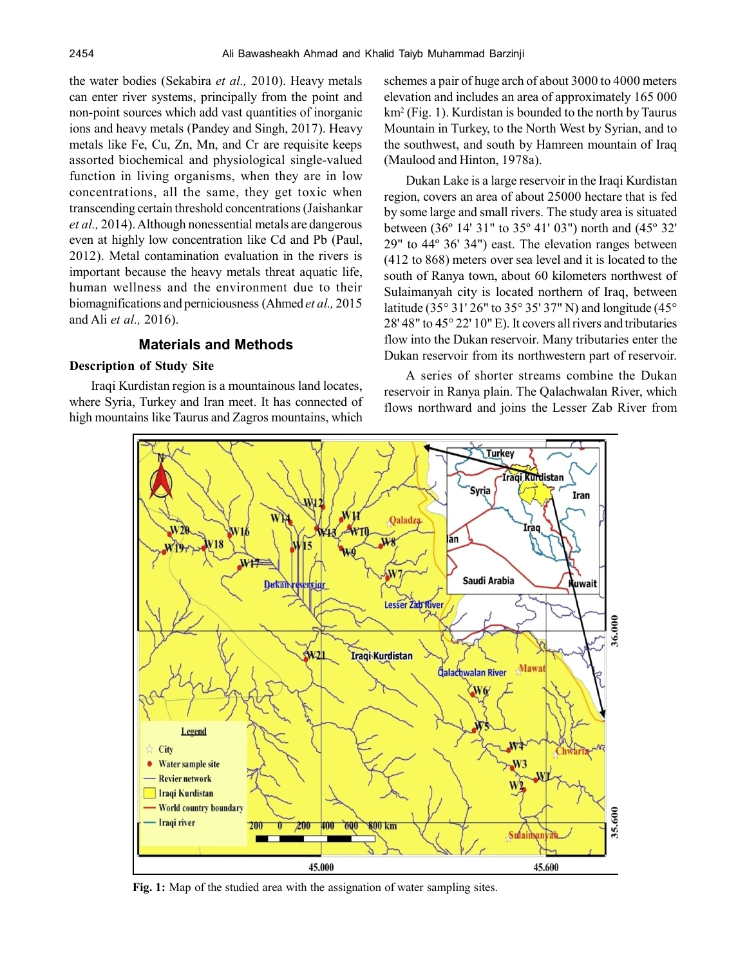the water bodies (Sekabira *et al.,* 2010). Heavy metals can enter river systems, principally from the point and non-point sources which add vast quantities of inorganic ions and heavy metals (Pandey and Singh, 2017). Heavy metals like Fe, Cu, Zn, Mn, and Cr are requisite keeps assorted biochemical and physiological single-valued function in living organisms, when they are in low concentrations, all the same, they get toxic when transcending certain threshold concentrations (Jaishankar *et al.,* 2014). Although nonessential metals are dangerous even at highly low concentration like Cd and Pb (Paul, 2012). Metal contamination evaluation in the rivers is important because the heavy metals threat aquatic life, human wellness and the environment due to their biomagnifications and perniciousness (Ahmed *et al.,* 2015 and Ali *et al.,* 2016).

# **Materials and Methods**

#### **Description of Study Site**

Iraqi Kurdistan region is a mountainous land locates, where Syria, Turkey and Iran meet. It has connected of high mountains like Taurus and Zagros mountains, which

schemes a pair of huge arch of about 3000 to 4000 meters elevation and includes an area of approximately 165 000 km<sup>2</sup> (Fig. 1). Kurdistan is bounded to the north by Taurus Mountain in Turkey, to the North West by Syrian, and to the southwest, and south by Hamreen mountain of Iraq (Maulood and Hinton, 1978a).

Dukan Lake is a large reservoir in the Iraqi Kurdistan region, covers an area of about 25000 hectare that is fed by some large and small rivers. The study area is situated between (36º 14' 31" to 35º 41' 03") north and (45º 32' 29" to 44º 36' 34") east. The elevation ranges between (412 to 868) meters over sea level and it is located to the south of Ranya town, about 60 kilometers northwest of Sulaimanyah city is located northern of Iraq, between latitude (35° 31' 26" to 35° 35' 37" N) and longitude (45° 28' 48" to 45° 22' 10" E). It covers all rivers and tributaries flow into the Dukan reservoir. Many tributaries enter the Dukan reservoir from its northwestern part of reservoir.

A series of shorter streams combine the Dukan reservoir in Ranya plain. The Qalachwalan River, which flows northward and joins the Lesser Zab River from



**Fig. 1:** Map of the studied area with the assignation of water sampling sites.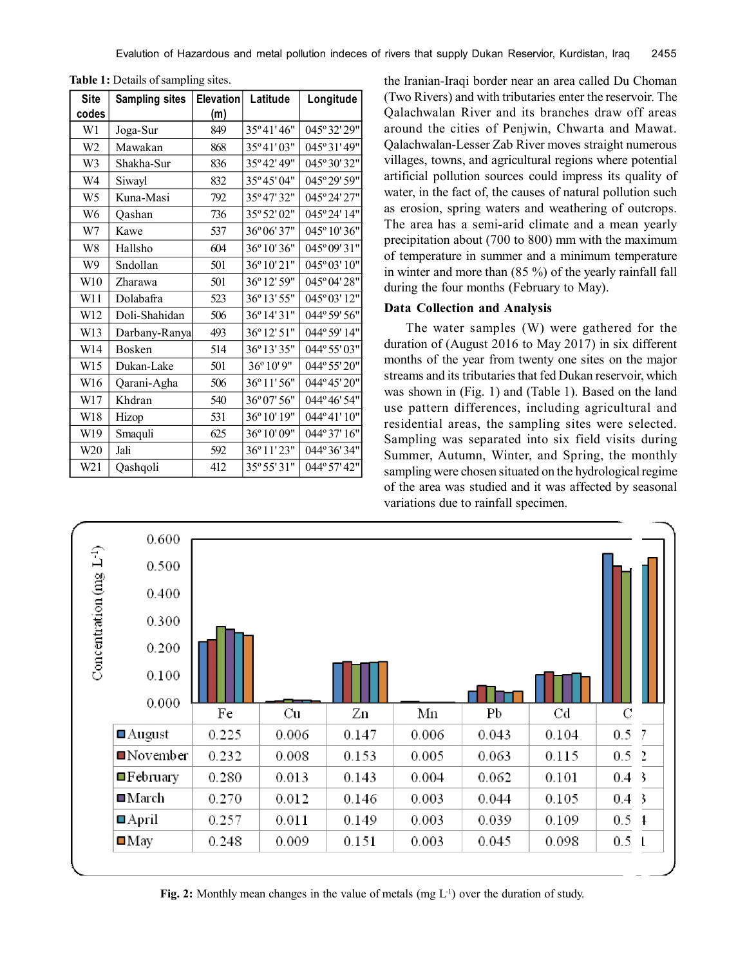| <b>Site</b>    | <b>Sampling sites</b> | <b>Elevation</b> | Latitude    | Longitude    |
|----------------|-----------------------|------------------|-------------|--------------|
| codes          |                       | (m)              |             |              |
| W1             | Joga-Sur              | 849              | 35°41'46"   | 045° 32' 29" |
| W <sub>2</sub> | Mawakan               | 868              | 35°41'03"   | 045°31'49"   |
| W3             | Shakha-Sur            | 836              | 35°42'49"   | 045° 30' 32" |
| W4             | Siwayl                | 832              | 35°45'04"   | 045° 29' 59" |
| W <sub>5</sub> | Kuna-Masi             | 792              | 35°47'32"   | 045° 24' 27" |
| W <sub>6</sub> | Qashan                | 736              | 35° 52' 02" | 045°24'14"   |
| W7             | Kawe                  | 537              | 36° 06' 37" | 045° 10' 36" |
| W8             | Hallsho               | 604              | 36° 10' 36" | 045° 09' 31" |
| W9             | Sndollan              | 501              | 36°10'21"   | 045° 03' 10" |
| W10            | Zharawa               | 501              | 36° 12' 59" | 045° 04' 28" |
| W11            | Dolabafra             | 523              | 36° 13' 55" | 045° 03' 12" |
| W12            | Doli-Shahidan         | 506              | 36°14'31"   | 044° 59' 56" |
| W13            | Darbany-Ranya         | 493              | 36°12'51"   | 044° 59' 14" |
| W14            | <b>Bosken</b>         | 514              | 36°13'35"   | 044° 55' 03" |
| W15            | Dukan-Lake            | 501              | 36° 10' 9"  | 044° 55' 20" |
| W16            | Qarani-Agha           | 506              | 36°11'56"   | 044°45'20"   |
| W17            | Khdran                | 540              | 36° 07' 56" | 044°46'54"   |
| W18            | Hizop                 | 531              | 36° 10' 19" | 044°41'10"   |
| W19            | Smaquli               | 625              | 36°10'09"   | 044° 37' 16" |
| W20            | Jali                  | 592              | 36°11'23"   | 044° 36' 34" |
| W21            | Qashqoli              | 412              | 35° 55' 31" | 044° 57' 42" |

**Table 1:** Details of sampling sites.

the Iranian-Iraqi border near an area called Du Choman (Two Rivers) and with tributaries enter the reservoir. The Qalachwalan River and its branches draw off areas around the cities of Penjwin, Chwarta and Mawat. Qalachwalan-Lesser Zab River moves straight numerous villages, towns, and agricultural regions where potential artificial pollution sources could impress its quality of water, in the fact of, the causes of natural pollution such as erosion, spring waters and weathering of outcrops. The area has a semi-arid climate and a mean yearly precipitation about (700 to 800) mm with the maximum of temperature in summer and a minimum temperature in winter and more than (85 %) of the yearly rainfall fall during the four months (February to May).

# **Data Collection and Analysis**

The water samples (W) were gathered for the duration of (August 2016 to May 2017) in six different months of the year from twenty one sites on the major streams and its tributaries that fed Dukan reservoir, which was shown in (Fig. 1) and (Table 1). Based on the land use pattern differences, including agricultural and residential areas, the sampling sites were selected. Sampling was separated into six field visits during Summer, Autumn, Winter, and Spring, the monthly sampling were chosen situated on the hydrological regime of the area was studied and it was affected by seasonal variations due to rainfall specimen.



**Fig. 2:** Monthly mean changes in the value of metals (mg  $L^{-1}$ ) over the duration of study.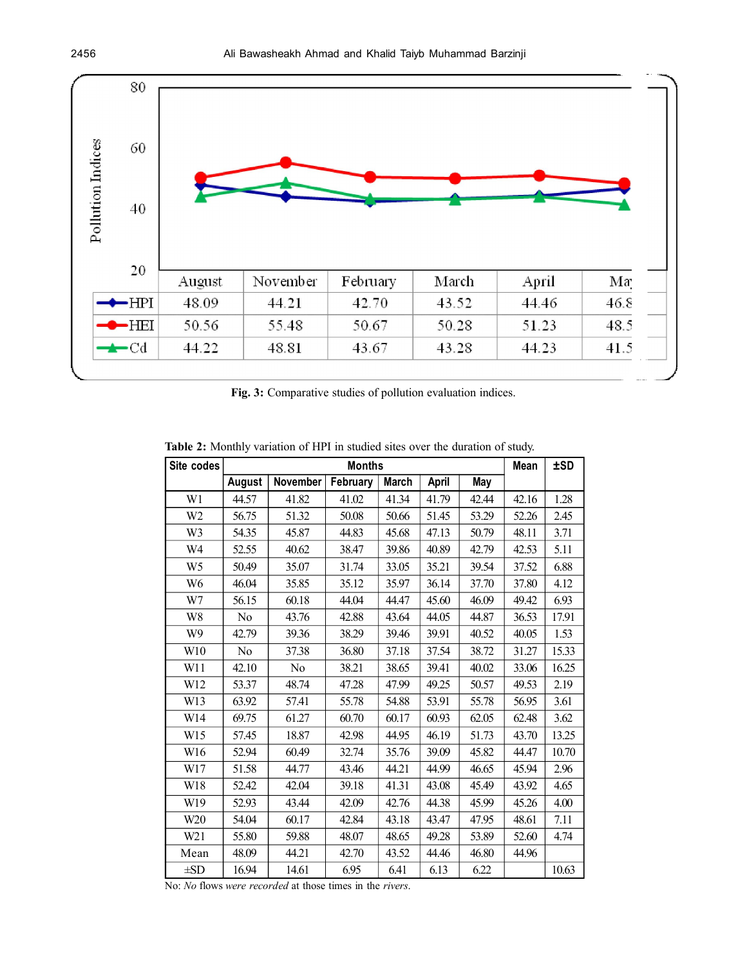![](_page_3_Figure_1.jpeg)

**Fig. 3:** Comparative studies of pollution evaluation indices.

**Table 2:** Monthly variation of HPI in studied sites over the duration of study.

| Site codes      |               |          | <b>Months</b> |              |       |       | Mean  | <b>±SD</b> |
|-----------------|---------------|----------|---------------|--------------|-------|-------|-------|------------|
|                 | <b>August</b> | November | February      | <b>March</b> | April | May   |       |            |
| W <sub>1</sub>  | 44.57         | 41.82    | 41.02         | 41.34        | 41.79 | 42.44 | 42.16 | 1.28       |
| W <sub>2</sub>  | 56.75         | 51.32    | 50.08         | 50.66        | 51.45 | 53.29 | 52.26 | 2.45       |
| W3              | 54.35         | 45.87    | 44.83         | 45.68        | 47.13 | 50.79 | 48.11 | 3.71       |
| W4              | 52.55         | 40.62    | 38.47         | 39.86        | 40.89 | 42.79 | 42.53 | 5.11       |
| W <sub>5</sub>  | 50.49         | 35.07    | 31.74         | 33.05        | 35.21 | 39.54 | 37.52 | 6.88       |
| W <sub>6</sub>  | 46.04         | 35.85    | 35.12         | 35.97        | 36.14 | 37.70 | 37.80 | 4.12       |
| W7              | 56.15         | 60.18    | 44.04         | 44.47        | 45.60 | 46.09 | 49.42 | 6.93       |
| W8              | No            | 43.76    | 42.88         | 43.64        | 44.05 | 44.87 | 36.53 | 17.91      |
| W9              | 42.79         | 39.36    | 38.29         | 39.46        | 39.91 | 40.52 | 40.05 | 1.53       |
| W10             | No            | 37.38    | 36.80         | 37.18        | 37.54 | 38.72 | 31.27 | 15.33      |
| W11             | 42.10         | No       | 38.21         | 38.65        | 39.41 | 40.02 | 33.06 | 16.25      |
| W12             | 53.37         | 48.74    | 47.28         | 47.99        | 49.25 | 50.57 | 49.53 | 2.19       |
| W13             | 63.92         | 57.41    | 55.78         | 54.88        | 53.91 | 55.78 | 56.95 | 3.61       |
| W14             | 69.75         | 61.27    | 60.70         | 60.17        | 60.93 | 62.05 | 62.48 | 3.62       |
| W15             | 57.45         | 18.87    | 42.98         | 44.95        | 46.19 | 51.73 | 43.70 | 13.25      |
| W16             | 52.94         | 60.49    | 32.74         | 35.76        | 39.09 | 45.82 | 44.47 | 10.70      |
| W17             | 51.58         | 44.77    | 43.46         | 44.21        | 44.99 | 46.65 | 45.94 | 2.96       |
| W18             | 52.42         | 42.04    | 39.18         | 41.31        | 43.08 | 45.49 | 43.92 | 4.65       |
| W19             | 52.93         | 43.44    | 42.09         | 42.76        | 44.38 | 45.99 | 45.26 | 4.00       |
| W <sub>20</sub> | 54.04         | 60.17    | 42.84         | 43.18        | 43.47 | 47.95 | 48.61 | 7.11       |
| W21             | 55.80         | 59.88    | 48.07         | 48.65        | 49.28 | 53.89 | 52.60 | 4.74       |
| Mean            | 48.09         | 44.21    | 42.70         | 43.52        | 44.46 | 46.80 | 44.96 |            |
| $\pm SD$        | 16.94         | 14.61    | 6.95          | 6.41         | 6.13  | 6.22  |       | 10.63      |

No: *No* flows *were recorded* at those times in the *rivers*.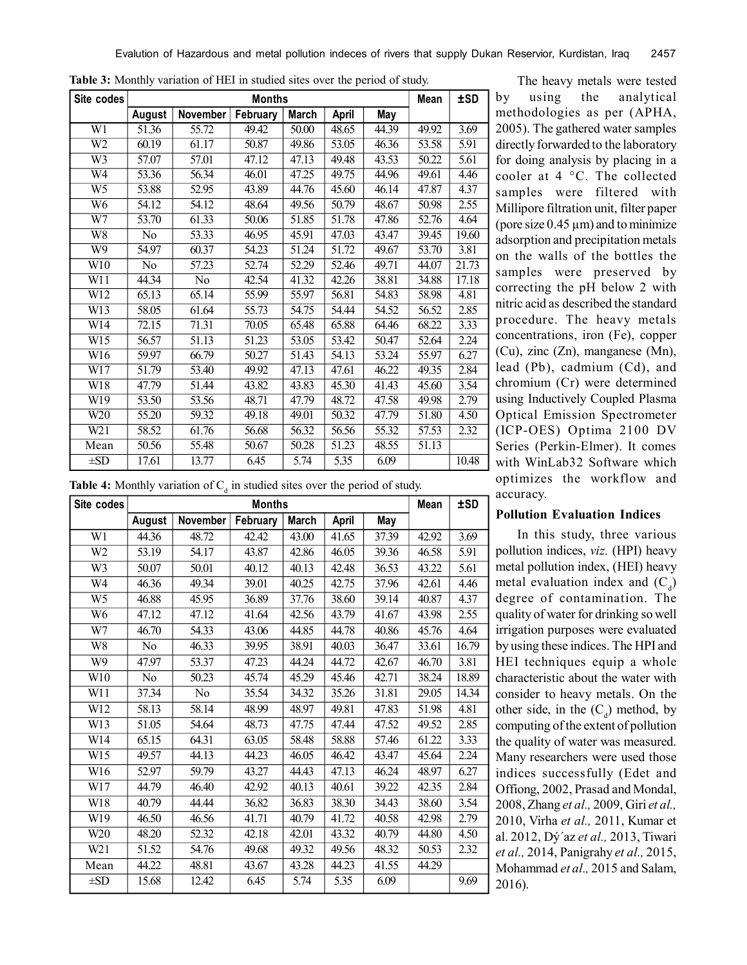| W1<br>$\overline{W2}$<br>$\overline{W}3$<br>W <sub>4</sub> | August<br>51.36<br>60.19<br>57.07<br>53.36 | November<br>55.72<br>61.17<br>57.01 | February<br>49.42<br>50.87 | <b>March</b><br>50.00 | April<br>48.65 | May<br>44.39 |       |       |
|------------------------------------------------------------|--------------------------------------------|-------------------------------------|----------------------------|-----------------------|----------------|--------------|-------|-------|
|                                                            |                                            |                                     |                            |                       |                |              |       |       |
|                                                            |                                            |                                     |                            |                       |                |              | 49.92 | 3.69  |
|                                                            |                                            |                                     |                            | 49.86                 | 53.05          | 46.36        | 53.58 | 5.91  |
|                                                            |                                            |                                     | 47.12                      | 47.13                 | 49.48          | 43.53        | 50.22 | 5.61  |
|                                                            |                                            | 56.34                               | 46.01                      | 47.25                 | 49.75          | 44.96        | 49.61 | 4.46  |
| $\overline{W5}$                                            | 53.88                                      | 52.95                               | 43.89                      | 44.76                 | 45.60          | 46.14        | 47.87 | 4.37  |
| W <sub>6</sub>                                             | 54.12                                      | 54.12                               | 48.64                      | 49.56                 | 50.79          | 48.67        | 50.98 | 2.55  |
| $\overline{W7}$                                            | 53.70                                      | 61.33                               | 50.06                      | 51.85                 | 51.78          | 47.86        | 52.76 | 4.64  |
| $\overline{W8}$                                            | N <sub>0</sub>                             | 53.33                               | 46.95                      | 45.91                 | 47.03          | 43.47        | 39.45 | 19.60 |
| $\overline{W}9$                                            | 54.97                                      | 60.37                               | 54.23                      | 51.24                 | 51.72          | 49.67        | 53.70 | 3.81  |
| W10                                                        | No                                         | 57.23                               | 52.74                      | 52.29                 | 52.46          | 49.71        | 44.07 | 21.73 |
| $\overline{W11}$                                           | 44.34                                      | $\overline{No}$                     | 42.54                      | 41.32                 | 42.26          | 38.81        | 34.88 | 17.18 |
| W12                                                        | 65.13                                      | 65.14                               | 55.99                      | 55.97                 | 56.81          | 54.83        | 58.98 | 4.81  |
| W13                                                        | 58.05                                      | 61.64                               | 55.73                      | 54.75                 | 54.44          | 54.52        | 56.52 | 2.85  |
| W14                                                        | 72.15                                      | 71.31                               | 70.05                      | 65.48                 | 65.88          | 64.46        | 68.22 | 3.33  |
| W15                                                        | 56.57                                      | 51.13                               | 51.23                      | 53.05                 | 53.42          | 50.47        | 52.64 | 2.24  |
| W16                                                        | 59.97                                      | 66.79                               | 50.27                      | 51.43                 | 54.13          | 53.24        | 55.97 | 6.27  |
| W17                                                        | 51.79                                      | 53.40                               | 49.92                      | 47.13                 | 47.61          | 46.22        | 49.35 | 2.84  |
| W18                                                        | 47.79                                      | 51.44                               | 43.82                      | 43.83                 | 45.30          | 41.43        | 45.60 | 3.54  |
| W19                                                        | 53.50                                      | 53.56                               | 48.71                      | 47.79                 | 48.72          | 47.58        | 49.98 | 2.79  |
| W20                                                        | 55.20                                      | 59.32                               | 49.18                      | 49.01                 | 50.32          | 47.79        | 51.80 | 4.50  |
| W21                                                        | 58.52                                      | 61.76                               | 56.68                      | 56.32                 | 56.56          | 55.32        | 57.53 | 2.32  |
| Mean                                                       | 50.56                                      | 55.48                               | 50.67                      | 50.28                 | 51.23          | 48.55        | 51.13 |       |
| $\pm SD$                                                   | 17.61                                      | 13.77                               | 6.45                       | 5.74                  | 5.35           | 6.09         |       | 10.48 |

**Table 3:** Monthly variation of HEI in studied sites over the period of study.

**Table 4:** Monthly variation of  $C_d$  in studied sites over the period of study.

| Site codes     |        |          | <b>Months</b> |              |       |       | Mean  | ±SD   |
|----------------|--------|----------|---------------|--------------|-------|-------|-------|-------|
|                | August | November | February      | <b>March</b> | April | May   |       |       |
| W1             | 44.36  | 48.72    | 42.42         | 43.00        | 41.65 | 37.39 | 42.92 | 3.69  |
| W <sub>2</sub> | 53.19  | 54.17    | 43.87         | 42.86        | 46.05 | 39.36 | 46.58 | 5.91  |
| W3             | 50.07  | 50.01    | 40.12         | 40.13        | 42.48 | 36.53 | 43.22 | 5.61  |
| W <sub>4</sub> | 46.36  | 49.34    | 39.01         | 40.25        | 42.75 | 37.96 | 42.61 | 4.46  |
| W <sub>5</sub> | 46.88  | 45.95    | 36.89         | 37.76        | 38.60 | 39.14 | 40.87 | 4.37  |
| W <sub>6</sub> | 47.12  | 47.12    | 41.64         | 42.56        | 43.79 | 41.67 | 43.98 | 2.55  |
| W7             | 46.70  | 54.33    | 43.06         | 44.85        | 44.78 | 40.86 | 45.76 | 4.64  |
| W <sub>8</sub> | No     | 46.33    | 39.95         | 38.91        | 40.03 | 36.47 | 33.61 | 16.79 |
| W9             | 47.97  | 53.37    | 47.23         | 44.24        | 44.72 | 42.67 | 46.70 | 3.81  |
| W10            | No     | 50.23    | 45.74         | 45.29        | 45.46 | 42.71 | 38.24 | 18.89 |
| W11            | 37.34  | No       | 35.54         | 34.32        | 35.26 | 31.81 | 29.05 | 14.34 |
| W12            | 58.13  | 58.14    | 48.99         | 48.97        | 49.81 | 47.83 | 51.98 | 4.81  |
| W13            | 51.05  | 54.64    | 48.73         | 47.75        | 47.44 | 47.52 | 49.52 | 2.85  |
| W14            | 65.15  | 64.31    | 63.05         | 58.48        | 58.88 | 57.46 | 61.22 | 3.33  |
| W15            | 49.57  | 44.13    | 44.23         | 46.05        | 46.42 | 43.47 | 45.64 | 2.24  |
| W16            | 52.97  | 59.79    | 43.27         | 44.43        | 47.13 | 46.24 | 48.97 | 6.27  |
| W17            | 44.79  | 46.40    | 42.92         | 40.13        | 40.61 | 39.22 | 42.35 | 2.84  |
| W18            | 40.79  | 44.44    | 36.82         | 36.83        | 38.30 | 34.43 | 38.60 | 3.54  |
| W19            | 46.50  | 46.56    | 41.71         | 40.79        | 41.72 | 40.58 | 42.98 | 2.79  |
| W20            | 48.20  | 52.32    | 42.18         | 42.01        | 43.32 | 40.79 | 44.80 | 4.50  |
| W21            | 51.52  | 54.76    | 49.68         | 49.32        | 49.56 | 48.32 | 50.53 | 2.32  |
| Mean           | 44.22  | 48.81    | 43.67         | 43.28        | 44.23 | 41.55 | 44.29 |       |
| $\pm SD$       | 15.68  | 12.42    | 6.45          | 5.74         | 5.35  | 6.09  |       | 9.69  |

The heavy metals were tested by using the analytical methodologies as per (APHA, 2005). The gathered water samples directly forwarded to the laboratory for doing analysis by placing in a cooler at 4 °C. The collected samples were filtered with Millipore filtration unit, filter paper (pore size  $0.45 \,\mathrm{\mu m}$ ) and to minimize adsorption and precipitation metals on the walls of the bottles the samples were preserved by correcting the pH below 2 with nitric acid as described the standard procedure. The heavy metals concentrations, iron (Fe), copper (Cu), zinc (Zn), manganese (Mn), lead (Pb), cadmium (Cd), and chromium (Cr) were determined using Inductively Coupled Plasma Optical Emission Spectrometer (ICP-OES) Optima 2100 DV Series (Perkin-Elmer). It comes with WinLab32 Software which optimizes the workflow and accuracy.

#### **Pollution Evaluation Indices**

In this study, three various pollution indices, *viz.* (HPI) heavy metal pollution index, (HEI) heavy metal evaluation index and  $(C_d)$ degree of contamination. The quality of water for drinking so well irrigation purposes were evaluated by using these indices. The HPI and HEI techniques equip a whole characteristic about the water with consider to heavy metals. On the other side, in the  $(C_d)$  method, by computing of the extent of pollution the quality of water was measured. Many researchers were used those indices successfully (Edet and Offiong, 2002, Prasad and Mondal, 2008, Zhang *et al.,* 2009, Giri *et al.,* 2010, Virha *et al.,* 2011, Kumar et al. 2012, Dý´az *et al.,* 2013, Tiwari *et al.,* 2014, Panigrahy *et al.,* 2015, Mohammad *et al.,* 2015 and Salam, 2016).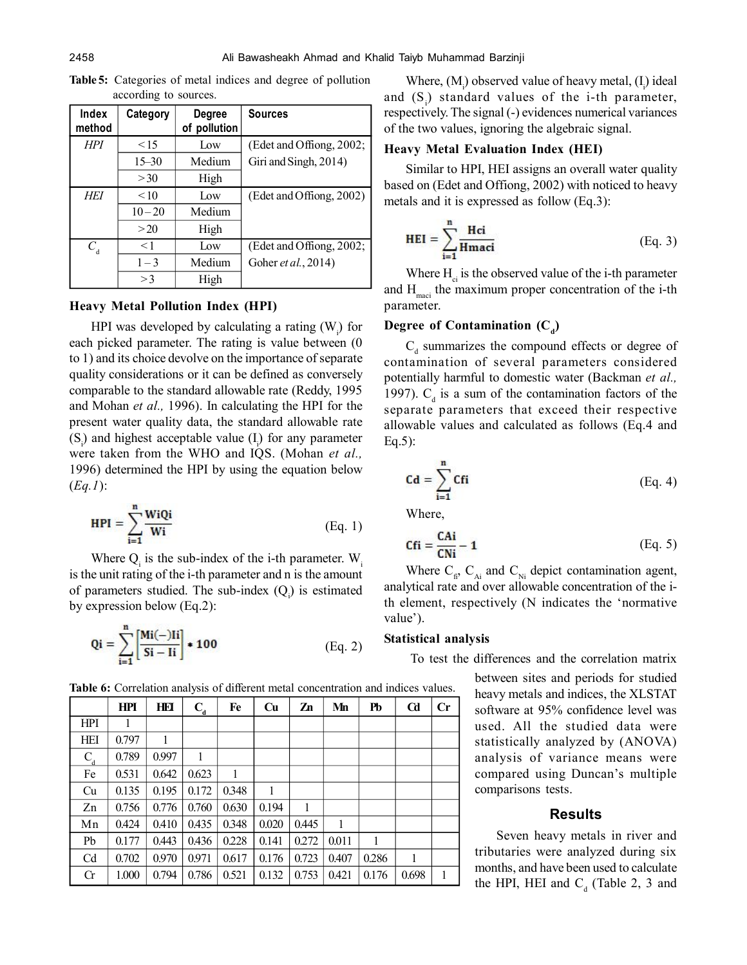| Index<br>method | Category  | Degree<br>of pollution | <b>Sources</b>              |
|-----------------|-----------|------------------------|-----------------------------|
| <b>HPI</b>      | 15        | Low                    | (Edet and Offiong, 2002;    |
|                 | $15 - 30$ | Medium                 | Giri and Singh, 2014)       |
|                 | >30       | High                   |                             |
| <b>HEI</b>      | < 10      | Low                    | (Edet and Offiong, 2002)    |
|                 | $10 - 20$ | Medium                 |                             |
|                 | >20       | High                   |                             |
| $C_{\rm d}$     | $\leq$ 1  | Low                    | (Edet and Offiong, 2002;    |
|                 | $1 - 3$   | Medium                 | Goher <i>et al.</i> , 2014) |
|                 | >3        | High                   |                             |

**Table 5:** Categories of metal indices and degree of pollution according to sources.

#### **Heavy Metal Pollution Index (HPI)**

HPI was developed by calculating a rating  $(W_i)$  for each picked parameter. The rating is value between (0 to 1) and its choice devolve on the importance of separate quality considerations or it can be defined as conversely comparable to the standard allowable rate (Reddy, 1995 and Mohan *et al.,* 1996). In calculating the HPI for the present water quality data, the standard allowable rate  $(S_i)$  and highest acceptable value  $(I_i)$  for any parameter were taken from the WHO and IQS. (Mohan *et al.,* 1996) determined the HPI by using the equation below (*Eq.1*):

$$
HPI = \sum_{i=1}^{n} \frac{WiQi}{Wi}
$$
 (Eq. 1)

Where  $Q_i$  is the sub-index of the i-th parameter.  $W_i$ is the unit rating of the i-th parameter and n is the amount of parameters studied. The sub-index  $(Q_i)$  is estimated by expression below (Eq.2):

$$
Qi = \sum_{i=1}^{n} \left[ \frac{Mi(-)Ii}{Si - Ii} \right] \cdot 100
$$
 (Eq. 2)

**Heavy Metal Evaluation Index (HEI)** Similar to HPI, HEI assigns an overall water quality based on (Edet and Offiong, 2002) with noticed to heavy metals and it is expressed as follow (Eq.3):

of the two values, ignoring the algebraic signal.

$$
HEI = \sum_{i=1}^{n} \frac{Hci}{Hmaci}
$$
 (Eq. 3)

Where,  $(M<sub>i</sub>)$  observed value of heavy metal,  $(I<sub>i</sub>)$  ideal and  $(S_i)$  standard values of the i-th parameter, respectively. The signal (-) evidences numerical variances

Where  $H_{ci}$  is the observed value of the i-th parameter and  $H_{\text{mset}}$  the maximum proper concentration of the i-th parameter.

# Degree of Contamination  $(C_d)$

 $C_d$  summarizes the compound effects or degree of contamination of several parameters considered potentially harmful to domestic water (Backman *et al.,* 1997).  $C_d$  is a sum of the contamination factors of the separate parameters that exceed their respective allowable values and calculated as follows (Eq.4 and Eq.5):

$$
Cd = \sum_{i=1}^{n} Cfi
$$
 (Eq. 4)

Where,

$$
Cfi = \frac{CAi}{CNi} - 1
$$
 (Eq. 5)

Where  $C_{fi}$ ,  $C_{Ai}$  and  $C_{Ni}$  depict contamination agent, analytical rate and over allowable concentration of the ith element, respectively (N indicates the 'normative value').

#### **Statistical analysis**

To test the differences and the correlation matrix

between sites and periods for studied heavy metals and indices, the XLSTAT software at 95% confidence level was used. All the studied data were statistically analyzed by (ANOVA) analysis of variance means were compared using Duncan's multiple comparisons tests.

#### **Results**

Seven heavy metals in river and tributaries were analyzed during six months, and have been used to calculate the HPI, HEI and  $C_d$  (Table 2, 3 and

**Table 6:** Correlation analysis of different metal concentration and indices values.

|                | <b>HPI</b> | HEI   | $C_d$ | Fe    | Cu    | Zn    | Mn    | Pb    | $_{\rm Cd}$ | Cr |
|----------------|------------|-------|-------|-------|-------|-------|-------|-------|-------------|----|
| <b>HPI</b>     |            |       |       |       |       |       |       |       |             |    |
| HEI            | 0.797      |       |       |       |       |       |       |       |             |    |
| $C_d$          | 0.789      | 0.997 | 1     |       |       |       |       |       |             |    |
| Fe             | 0.531      | 0.642 | 0.623 | 1     |       |       |       |       |             |    |
| Cu             | 0.135      | 0.195 | 0.172 | 0.348 | 1     |       |       |       |             |    |
| Zn             | 0.756      | 0.776 | 0.760 | 0.630 | 0.194 | 1     |       |       |             |    |
| Mn             | 0.424      | 0.410 | 0.435 | 0.348 | 0.020 | 0.445 | 1     |       |             |    |
| Pb             | 0.177      | 0.443 | 0.436 | 0.228 | 0.141 | 0.272 | 0.011 | 1     |             |    |
| C <sub>d</sub> | 0.702      | 0.970 | 0.971 | 0.617 | 0.176 | 0.723 | 0.407 | 0.286 | 1           |    |
| $\rm Cr$       | 1.000      | 0.794 | 0.786 | 0.521 | 0.132 | 0.753 | 0.421 | 0.176 | 0.698       | 1  |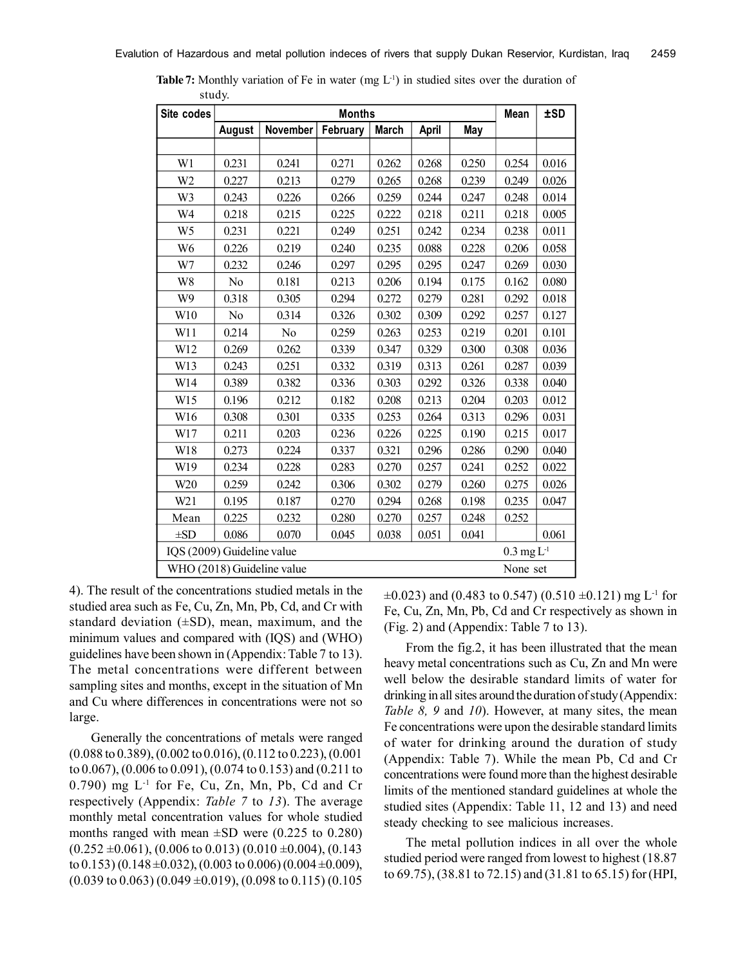| Site codes                 |        |                            | <b>Months</b> |              |       |       | Mean                                 | ±SD   |
|----------------------------|--------|----------------------------|---------------|--------------|-------|-------|--------------------------------------|-------|
|                            | August | November                   | February      | <b>March</b> | April | May   |                                      |       |
|                            |        |                            |               |              |       |       |                                      |       |
| W1                         | 0.231  | 0.241                      | 0.271         | 0.262        | 0.268 | 0.250 | 0.254                                | 0.016 |
| W <sub>2</sub>             | 0.227  | 0.213                      | 0.279         | 0.265        | 0.268 | 0.239 | 0.249                                | 0.026 |
| W3                         | 0.243  | 0.226                      | 0.266         | 0.259        | 0.244 | 0.247 | 0.248                                | 0.014 |
| W <sub>4</sub>             | 0.218  | 0.215                      | 0.225         | 0.222        | 0.218 | 0.211 | 0.218                                | 0.005 |
| W <sub>5</sub>             | 0.231  | 0.221                      | 0.249         | 0.251        | 0.242 | 0.234 | 0.238                                | 0.011 |
| W6                         | 0.226  | 0.219                      | 0.240         | 0.235        | 0.088 | 0.228 | 0.206                                | 0.058 |
| W7                         | 0.232  | 0.246                      | 0.297         | 0.295        | 0.295 | 0.247 | 0.269                                | 0.030 |
| W8                         | No     | 0.181                      | 0.213         | 0.206        | 0.194 | 0.175 | 0.162                                | 0.080 |
| W9                         | 0.318  | 0.305                      | 0.294         | 0.272        | 0.279 | 0.281 | 0.292                                | 0.018 |
| W10                        | No     | 0.314                      | 0.326         | 0.302        | 0.309 | 0.292 | 0.257                                | 0.127 |
| W11                        | 0.214  | No                         | 0.259         | 0.263        | 0.253 | 0.219 | 0.201                                | 0.101 |
| W12                        | 0.269  | 0.262                      | 0.339         | 0.347        | 0.329 | 0.300 | 0.308                                | 0.036 |
| W13                        | 0.243  | 0.251                      | 0.332         | 0.319        | 0.313 | 0.261 | 0.287                                | 0.039 |
| W14                        | 0.389  | 0.382                      | 0.336         | 0.303        | 0.292 | 0.326 | 0.338                                | 0.040 |
| W15                        | 0.196  | 0.212                      | 0.182         | 0.208        | 0.213 | 0.204 | 0.203                                | 0.012 |
| W16                        | 0.308  | 0.301                      | 0.335         | 0.253        | 0.264 | 0.313 | 0.296                                | 0.031 |
| W17                        | 0.211  | 0.203                      | 0.236         | 0.226        | 0.225 | 0.190 | 0.215                                | 0.017 |
| W18                        | 0.273  | 0.224                      | 0.337         | 0.321        | 0.296 | 0.286 | 0.290                                | 0.040 |
| W19                        | 0.234  | 0.228                      | 0.283         | 0.270        | 0.257 | 0.241 | 0.252                                | 0.022 |
| W <sub>20</sub>            | 0.259  | 0.242                      | 0.306         | 0.302        | 0.279 | 0.260 | 0.275                                | 0.026 |
| W21                        | 0.195  | 0.187                      | 0.270         | 0.294        | 0.268 | 0.198 | 0.235                                | 0.047 |
| Mean                       | 0.225  | 0.232                      | 0.280         | 0.270        | 0.257 | 0.248 | 0.252                                |       |
| $\pm SD$                   | 0.086  | 0.070                      | 0.045         | 0.038        | 0.051 | 0.041 |                                      | 0.061 |
| IQS (2009) Guideline value |        |                            |               |              |       |       | $0.3 \,\mathrm{mg}\, \mathrm{L}^{1}$ |       |
|                            |        | WHO (2018) Guideline value |               |              |       |       | None set                             |       |

**Table 7:** Monthly variation of Fe in water (mg  $L^{-1}$ ) in studied sites over the duration of study.

4). The result of the concentrations studied metals in the studied area such as Fe, Cu, Zn, Mn, Pb, Cd, and Cr with standard deviation  $(\pm SD)$ , mean, maximum, and the minimum values and compared with (IQS) and (WHO) guidelines have been shown in (Appendix: Table 7 to 13). The metal concentrations were different between sampling sites and months, except in the situation of Mn and Cu where differences in concentrations were not so large.

Generally the concentrations of metals were ranged (0.088 to 0.389), (0.002 to 0.016), (0.112 to 0.223), (0.001 to 0.067), (0.006 to 0.091), (0.074 to 0.153) and (0.211 to  $(0.790)$  mg  $L^{-1}$  for Fe, Cu, Zn, Mn, Pb, Cd and Cr respectively (Appendix: *Table 7* to *13*). The average monthly metal concentration values for whole studied months ranged with mean  $\pm$ SD were (0.225 to 0.280)  $(0.252 \pm 0.061)$ ,  $(0.006 \text{ to } 0.013)$   $(0.010 \pm 0.004)$ ,  $(0.143$ to 0.153) (0.148  $\pm$ 0.032), (0.003 to 0.006) (0.004  $\pm$ 0.009),  $(0.039 \text{ to } 0.063) (0.049 \pm 0.019), (0.098 \text{ to } 0.115) (0.105$   $\pm 0.023$ ) and (0.483 to 0.547) (0.510  $\pm 0.121$ ) mg L<sup>-1</sup> for Fe, Cu, Zn, Mn, Pb, Cd and Cr respectively as shown in (Fig. 2) and (Appendix: Table 7 to 13).

From the fig.2, it has been illustrated that the mean heavy metal concentrations such as Cu, Zn and Mn were well below the desirable standard limits of water for drinking in all sites around the duration of study (Appendix: *Table 8, 9* and *10*). However, at many sites, the mean Fe concentrations were upon the desirable standard limits of water for drinking around the duration of study (Appendix: Table 7). While the mean Pb, Cd and Cr concentrations were found more than the highest desirable limits of the mentioned standard guidelines at whole the studied sites (Appendix: Table 11, 12 and 13) and need steady checking to see malicious increases.

The metal pollution indices in all over the whole studied period were ranged from lowest to highest (18.87 to 69.75), (38.81 to 72.15) and (31.81 to 65.15) for (HPI,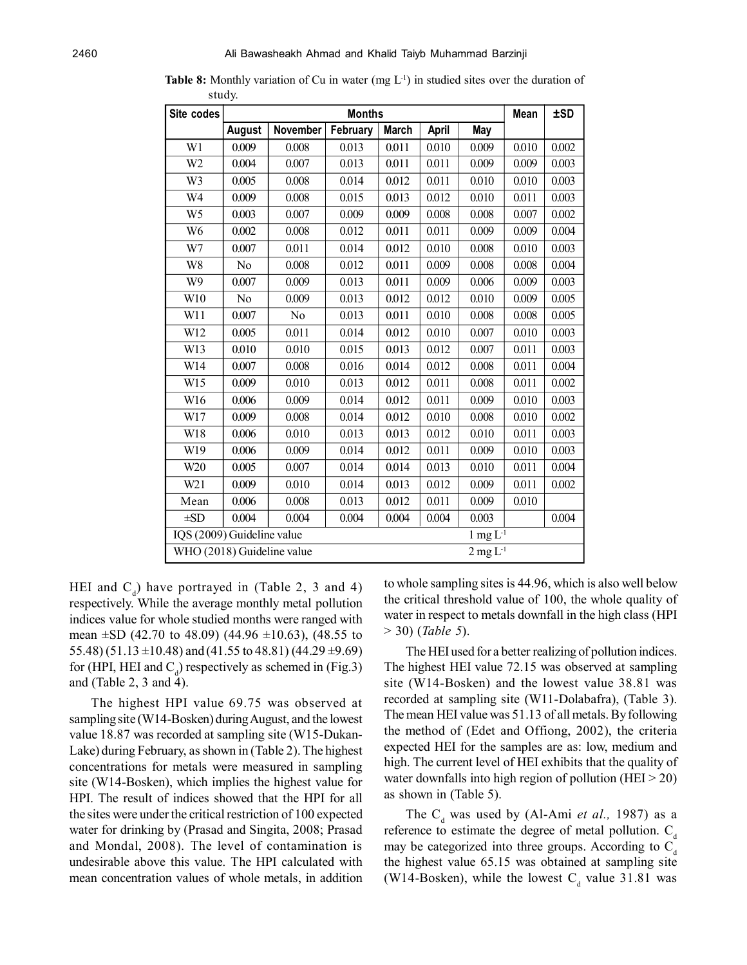| Site codes                 |        |                                                                         |          | Mean         | ±SD   |                 |       |       |
|----------------------------|--------|-------------------------------------------------------------------------|----------|--------------|-------|-----------------|-------|-------|
|                            | August | November                                                                | February | <b>March</b> | April | May             |       |       |
| W1                         | 0.009  | 0.008                                                                   | 0.013    | 0.011        | 0.010 | 0.009           | 0.010 | 0.002 |
| W <sub>2</sub>             | 0.004  | 0.007                                                                   | 0.013    | 0.011        | 0.011 | 0.009           | 0.009 | 0.003 |
| W3                         | 0.005  | 0.008                                                                   | 0.014    | 0.012        | 0.011 | 0.010           | 0.010 | 0.003 |
| W <sub>4</sub>             | 0.009  | 0.008                                                                   | 0.015    | 0.013        | 0.012 | 0.010           | 0.011 | 0.003 |
| W <sub>5</sub>             | 0.003  | 0.007                                                                   | 0.009    | 0.009        | 0.008 | 0.008           | 0.007 | 0.002 |
| W <sub>6</sub>             | 0.002  | 0.008                                                                   | 0.012    | 0.011        | 0.011 | 0.009           | 0.009 | 0.004 |
| W7                         | 0.007  | 0.011                                                                   | 0.014    | 0.012        | 0.010 | 0.008           | 0.010 | 0.003 |
| W8                         | No     | 0.008                                                                   | 0.012    | 0.011        | 0.009 | 0.008           | 0.008 | 0.004 |
| W9                         | 0.007  | 0.009                                                                   | 0.013    | 0.011        | 0.009 | 0.006           | 0.009 | 0.003 |
| W10                        | No     | 0.009                                                                   | 0.013    | 0.012        | 0.012 | 0.010           | 0.009 | 0.005 |
| W11                        | 0.007  | No                                                                      | 0.013    | 0.011        | 0.010 | 0.008           | 0.008 | 0.005 |
| W12                        | 0.005  | 0.011                                                                   | 0.014    | 0.012        | 0.010 | 0.007           | 0.010 | 0.003 |
| W13                        | 0.010  | 0.010                                                                   | 0.015    | 0.013        | 0.012 | 0.007           | 0.011 | 0.003 |
| W14                        | 0.007  | 0.008                                                                   | 0.016    | 0.014        | 0.012 | 0.008           | 0.011 | 0.004 |
| W15                        | 0.009  | 0.010                                                                   | 0.013    | 0.012        | 0.011 | 0.008           | 0.011 | 0.002 |
| W16                        | 0.006  | 0.009                                                                   | 0.014    | 0.012        | 0.011 | 0.009           | 0.010 | 0.003 |
| W17                        | 0.009  | 0.008                                                                   | 0.014    | 0.012        | 0.010 | 0.008           | 0.010 | 0.002 |
| W18                        | 0.006  | 0.010                                                                   | 0.013    | 0.013        | 0.012 | 0.010           | 0.011 | 0.003 |
| W19                        | 0.006  | 0.009                                                                   | 0.014    | 0.012        | 0.011 | 0.009           | 0.010 | 0.003 |
| W20                        | 0.005  | 0.007                                                                   | 0.014    | 0.014        | 0.013 | 0.010           | 0.011 | 0.004 |
| W21                        | 0.009  | 0.010                                                                   | 0.014    | 0.013        | 0.012 | 0.009           | 0.011 | 0.002 |
| Mean                       | 0.006  | 0.008                                                                   | 0.013    | 0.012        | 0.011 | 0.009           | 0.010 |       |
| $\pm SD$                   | 0.004  | 0.004                                                                   | 0.004    | 0.004        | 0.004 | 0.003           |       | 0.004 |
|                            |        | IQS (2009) Guideline value<br>$1~\mathrm{mg}~\mathrm{L}^{_\mathrm{-1}}$ |          |              |       |                 |       |       |
| WHO (2018) Guideline value |        |                                                                         |          |              |       | $2$ mg $L^{-1}$ |       |       |

**Table 8:** Monthly variation of Cu in water (mg  $L<sup>1</sup>$ ) in studied sites over the duration of study.

HEI and  $C_d$ ) have portrayed in (Table 2, 3 and 4) respectively. While the average monthly metal pollution indices value for whole studied months were ranged with mean  $\pm$ SD (42.70 to 48.09) (44.96  $\pm$ 10.63), (48.55 to 55.48) (51.13  $\pm$ 10.48) and (41.55 to 48.81) (44.29  $\pm$ 9.69) for (HPI, HEI and  $C_d$ ) respectively as schemed in (Fig.3) and (Table 2, 3 and 4).

The highest HPI value 69.75 was observed at sampling site (W14-Bosken) during August, and the lowest value 18.87 was recorded at sampling site (W15-Dukan-Lake) during February, as shown in (Table 2). The highest concentrations for metals were measured in sampling site (W14-Bosken), which implies the highest value for HPI. The result of indices showed that the HPI for all the sites were under the critical restriction of 100 expected water for drinking by (Prasad and Singita, 2008; Prasad and Mondal, 2008). The level of contamination is undesirable above this value. The HPI calculated with mean concentration values of whole metals, in addition to whole sampling sites is 44.96, which is also well below the critical threshold value of 100, the whole quality of water in respect to metals downfall in the high class (HPI > 30) (*Table 5*).

The HEI used for a better realizing of pollution indices. The highest HEI value 72.15 was observed at sampling site (W14-Bosken) and the lowest value 38.81 was recorded at sampling site (W11-Dolabafra), (Table 3). The mean HEI value was 51.13 of all metals. By following the method of (Edet and Offiong, 2002), the criteria expected HEI for the samples are as: low, medium and high. The current level of HEI exhibits that the quality of water downfalls into high region of pollution (HEI  $>$  20) as shown in (Table 5).

The  $C_d$  was used by (Al-Ami *et al.*, 1987) as a reference to estimate the degree of metal pollution.  $C_d$ may be categorized into three groups. According to  $C_d$ the highest value 65.15 was obtained at sampling site (W14-Bosken), while the lowest  $C_d$  value 31.81 was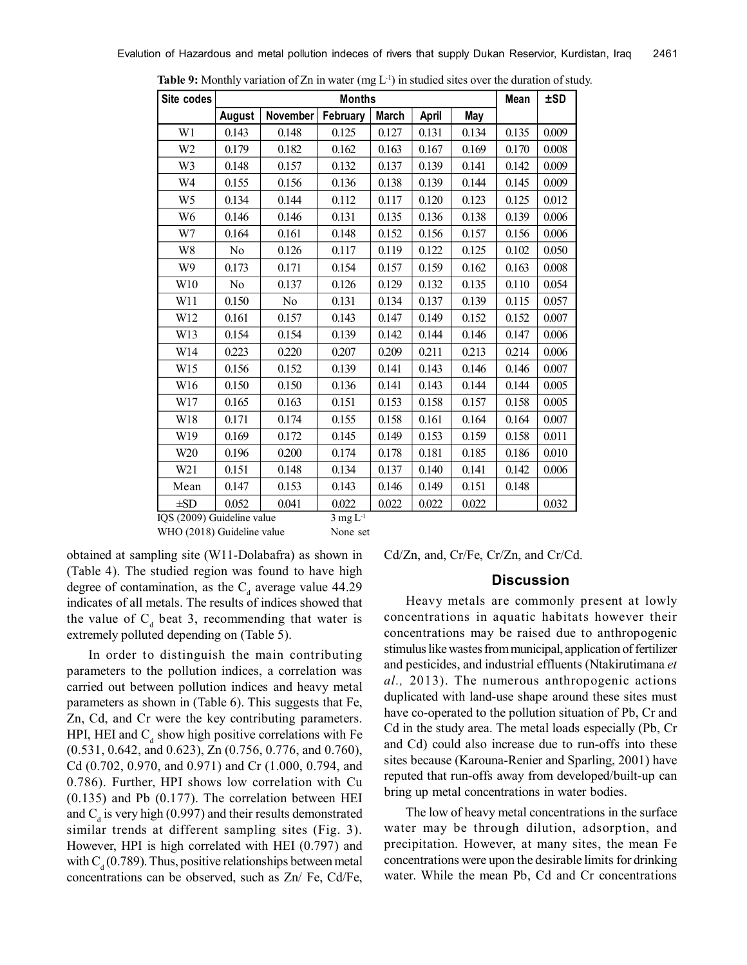| Site codes           |                     |                |                  | Mean         | ±SD   |       |       |       |
|----------------------|---------------------|----------------|------------------|--------------|-------|-------|-------|-------|
|                      | August              | November       | February         | <b>March</b> | April | May   |       |       |
| W1                   | 0.143               | 0.148          | 0.125            | 0.127        | 0.131 | 0.134 | 0.135 | 0.009 |
| W2                   | 0.179               | 0.182          | 0.162            | 0.163        | 0.167 | 0.169 | 0.170 | 0.008 |
| W3                   | 0.148               | 0.157          | 0.132            | 0.137        | 0.139 | 0.141 | 0.142 | 0.009 |
| W4                   | 0.155               | 0.156          | 0.136            | 0.138        | 0.139 | 0.144 | 0.145 | 0.009 |
| W <sub>5</sub>       | 0.134               | 0.144          | 0.112            | 0.117        | 0.120 | 0.123 | 0.125 | 0.012 |
| W <sub>6</sub>       | 0.146               | 0.146          | 0.131            | 0.135        | 0.136 | 0.138 | 0.139 | 0.006 |
| W7                   | 0.164               | 0.161          | 0.148            | 0.152        | 0.156 | 0.157 | 0.156 | 0.006 |
| W8                   | N <sub>0</sub>      | 0.126          | 0.117            | 0.119        | 0.122 | 0.125 | 0.102 | 0.050 |
| W9                   | 0.173               | 0.171          | 0.154            | 0.157        | 0.159 | 0.162 | 0.163 | 0.008 |
| W10                  | No                  | 0.137          | 0.126            | 0.129        | 0.132 | 0.135 | 0.110 | 0.054 |
| W11                  | 0.150               | N <sub>0</sub> | 0.131            | 0.134        | 0.137 | 0.139 | 0.115 | 0.057 |
| W12                  | 0.161               | 0.157          | 0.143            | 0.147        | 0.149 | 0.152 | 0.152 | 0.007 |
| W13                  | 0.154               | 0.154          | 0.139            | 0.142        | 0.144 | 0.146 | 0.147 | 0.006 |
| W14                  | 0.223               | 0.220          | 0.207            | 0.209        | 0.211 | 0.213 | 0.214 | 0.006 |
| W15                  | 0.156               | 0.152          | 0.139            | 0.141        | 0.143 | 0.146 | 0.146 | 0.007 |
| W16                  | 0.150               | 0.150          | 0.136            | 0.141        | 0.143 | 0.144 | 0.144 | 0.005 |
| W17                  | 0.165               | 0.163          | 0.151            | 0.153        | 0.158 | 0.157 | 0.158 | 0.005 |
| W18                  | 0.171               | 0.174          | 0.155            | 0.158        | 0.161 | 0.164 | 0.164 | 0.007 |
| W <sub>19</sub>      | 0.169               | 0.172          | 0.145            | 0.149        | 0.153 | 0.159 | 0.158 | 0.011 |
| W <sub>20</sub>      | 0.196               | 0.200          | 0.174            | 0.178        | 0.181 | 0.185 | 0.186 | 0.010 |
| W21                  | 0.151               | 0.148          | 0.134            | 0.137        | 0.140 | 0.141 | 0.142 | 0.006 |
| Mean                 | 0.147               | 0.153          | 0.143            | 0.146        | 0.149 | 0.151 | 0.148 |       |
| $\pm SD$<br>0.000000 | 0.052<br>$2.1 - 12$ | 0.041          | 0.022<br>$T = 1$ | 0.022        | 0.022 | 0.022 |       | 0.032 |

**Table 9:** Monthly variation of Zn in water (mg L<sup>-1</sup>) in studied sites over the duration of study.

 $IQS (2009)$  Guideline value 3 mg L<sup>-1</sup> WHO (2018) Guideline value None set

obtained at sampling site (W11-Dolabafra) as shown in (Table 4). The studied region was found to have high degree of contamination, as the  $C_d$  average value 44.29 indicates of all metals. The results of indices showed that the value of  $C_d$  beat 3, recommending that water is extremely polluted depending on (Table 5).

In order to distinguish the main contributing parameters to the pollution indices, a correlation was carried out between pollution indices and heavy metal parameters as shown in (Table 6). This suggests that Fe, Zn, Cd, and Cr were the key contributing parameters. HPI, HEI and  $C_d$  show high positive correlations with Fe (0.531, 0.642, and 0.623), Zn (0.756, 0.776, and 0.760), Cd (0.702, 0.970, and 0.971) and Cr (1.000, 0.794, and 0.786). Further, HPI shows low correlation with Cu (0.135) and Pb (0.177). The correlation between HEI and  $C_d$  is very high (0.997) and their results demonstrated similar trends at different sampling sites (Fig. 3). However, HPI is high correlated with HEI (0.797) and with  $C_d$  (0.789). Thus, positive relationships between metal concentrations can be observed, such as Zn/ Fe, Cd/Fe, Cd/Zn, and, Cr/Fe, Cr/Zn, and Cr/Cd.

#### **Discussion**

Heavy metals are commonly present at lowly concentrations in aquatic habitats however their concentrations may be raised due to anthropogenic stimulus like wastes from municipal, application of fertilizer and pesticides, and industrial effluents (Ntakirutimana *et al.,* 2013). The numerous anthropogenic actions duplicated with land-use shape around these sites must have co-operated to the pollution situation of Pb, Cr and Cd in the study area. The metal loads especially (Pb, Cr and Cd) could also increase due to run-offs into these sites because (Karouna-Renier and Sparling, 2001) have reputed that run-offs away from developed/built-up can bring up metal concentrations in water bodies.

The low of heavy metal concentrations in the surface water may be through dilution, adsorption, and precipitation. However, at many sites, the mean Fe concentrations were upon the desirable limits for drinking water. While the mean Pb, Cd and Cr concentrations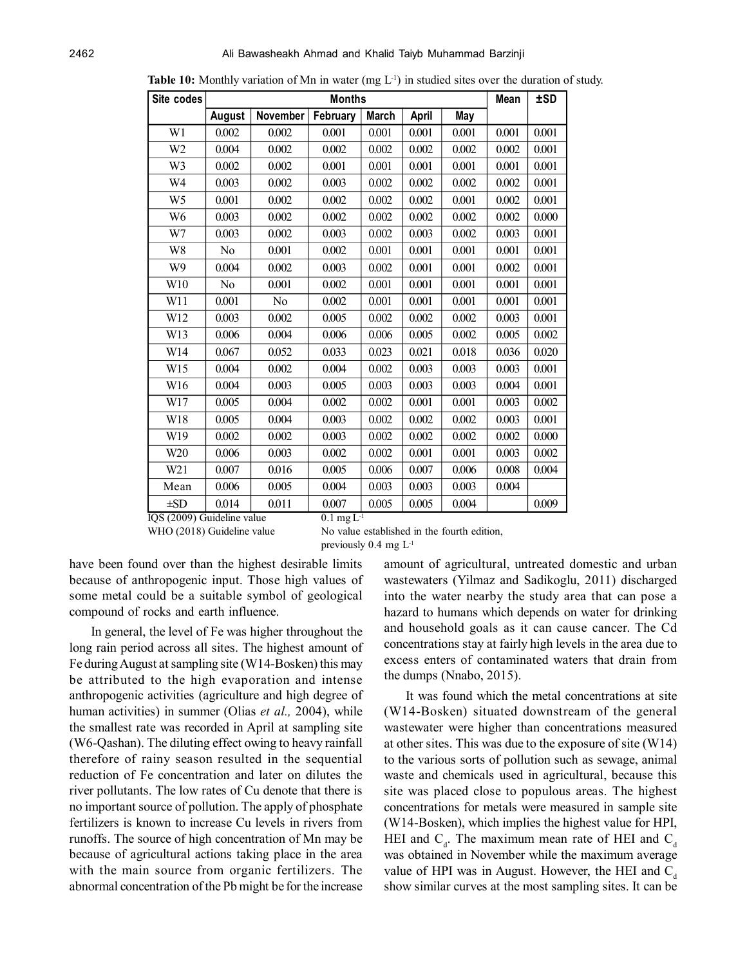| Site codes      |        |          | <b>Months</b> |              |                    |       | Mean  | ±SD   |
|-----------------|--------|----------|---------------|--------------|--------------------|-------|-------|-------|
|                 | August | November | February      | <b>March</b> | April              | May   |       |       |
| W <sub>1</sub>  | 0.002  | 0.002    | 0.001         | 0.001        | 0.001              | 0.001 | 0.001 | 0.001 |
| W <sub>2</sub>  | 0.004  | 0.002    | 0.002         | 0.002        | 0.002              | 0.002 | 0.002 | 0.001 |
| W3              | 0.002  | 0.002    | 0.001         | 0.001        | 0.001              | 0.001 | 0.001 | 0.001 |
| W4              | 0.003  | 0.002    | 0.003         | 0.002        | 0.002              | 0.002 | 0.002 | 0.001 |
| W <sub>5</sub>  | 0.001  | 0.002    | 0.002         | 0.002        | 0.002              | 0.001 | 0.002 | 0.001 |
| W <sub>6</sub>  | 0.003  | 0.002    | 0.002         | 0.002        | 0.002              | 0.002 | 0.002 | 0.000 |
| W7              | 0.003  | 0.002    | 0.003         | 0.002        | 0.003              | 0.002 | 0.003 | 0.001 |
| W8              | No     | 0.001    | 0.002         | 0.001        | 0.001              | 0.001 | 0.001 | 0.001 |
| W <sub>9</sub>  | 0.004  | 0.002    | 0.003         | 0.002        | 0.001              | 0.001 | 0.002 | 0.001 |
| W10             | No     | 0.001    | 0.002         | 0.001        | 0.001              | 0.001 | 0.001 | 0.001 |
| W11             | 0.001  | No       | 0.002         | 0.001        | 0.001              | 0.001 | 0.001 | 0.001 |
| W12             | 0.003  | 0.002    | 0.005         | 0.002        | 0.002              | 0.002 | 0.003 | 0.001 |
| W13             | 0.006  | 0.004    | 0.006         | 0.006        | 0.005              | 0.002 | 0.005 | 0.002 |
| W14             | 0.067  | 0.052    | 0.033         | 0.023        | 0.021              | 0.018 | 0.036 | 0.020 |
| W15             | 0.004  | 0.002    | 0.004         | 0.002        | 0.003              | 0.003 | 0.003 | 0.001 |
| W16             | 0.004  | 0.003    | 0.005         | 0.003        | 0.003              | 0.003 | 0.004 | 0.001 |
| W17             | 0.005  | 0.004    | 0.002         | 0.002        | 0.001              | 0.001 | 0.003 | 0.002 |
| W18             | 0.005  | 0.004    | 0.003         | 0.002        | 0.002              | 0.002 | 0.003 | 0.001 |
| W19             | 0.002  | 0.002    | 0.003         | 0.002        | $\overline{0.002}$ | 0.002 | 0.002 | 0.000 |
| W <sub>20</sub> | 0.006  | 0.003    | 0.002         | 0.002        | 0.001              | 0.001 | 0.003 | 0.002 |
| W21             | 0.007  | 0.016    | 0.005         | 0.006        | 0.007              | 0.006 | 0.008 | 0.004 |
| Mean            | 0.006  | 0.005    | 0.004         | 0.003        | 0.003              | 0.003 | 0.004 |       |
| $\pm SD$        | 0.014  | 0.011    | 0.007         | 0.005        | 0.005              | 0.004 |       | 0.009 |

**Table 10:** Monthly variation of Mn in water (mg L<sup>-1</sup>) in studied sites over the duration of study.

 $\overline{IQS(2009)}$  Guideline value 0.1 mg L<sup>-1</sup>

WHO (2018) Guideline value No value established in the fourth edition, previously 0.4 mg L-1

have been found over than the highest desirable limits because of anthropogenic input. Those high values of some metal could be a suitable symbol of geological compound of rocks and earth influence.

In general, the level of Fe was higher throughout the long rain period across all sites. The highest amount of Fe during August at sampling site (W14-Bosken) this may be attributed to the high evaporation and intense anthropogenic activities (agriculture and high degree of human activities) in summer (Olias *et al.,* 2004), while the smallest rate was recorded in April at sampling site (W6-Qashan). The diluting effect owing to heavy rainfall therefore of rainy season resulted in the sequential reduction of Fe concentration and later on dilutes the river pollutants. The low rates of Cu denote that there is no important source of pollution. The apply of phosphate fertilizers is known to increase Cu levels in rivers from runoffs. The source of high concentration of Mn may be because of agricultural actions taking place in the area with the main source from organic fertilizers. The abnormal concentration of the Pb might be for the increase

amount of agricultural, untreated domestic and urban wastewaters (Yilmaz and Sadikoglu, 2011) discharged into the water nearby the study area that can pose a hazard to humans which depends on water for drinking and household goals as it can cause cancer. The Cd concentrations stay at fairly high levels in the area due to excess enters of contaminated waters that drain from the dumps (Nnabo, 2015).

It was found which the metal concentrations at site (W14-Bosken) situated downstream of the general wastewater were higher than concentrations measured at other sites. This was due to the exposure of site (W14) to the various sorts of pollution such as sewage, animal waste and chemicals used in agricultural, because this site was placed close to populous areas. The highest concentrations for metals were measured in sample site (W14-Bosken), which implies the highest value for HPI, HEI and  $C_d$ . The maximum mean rate of HEI and  $C_d$ was obtained in November while the maximum average value of HPI was in August. However, the HEI and  $C_d$ show similar curves at the most sampling sites. It can be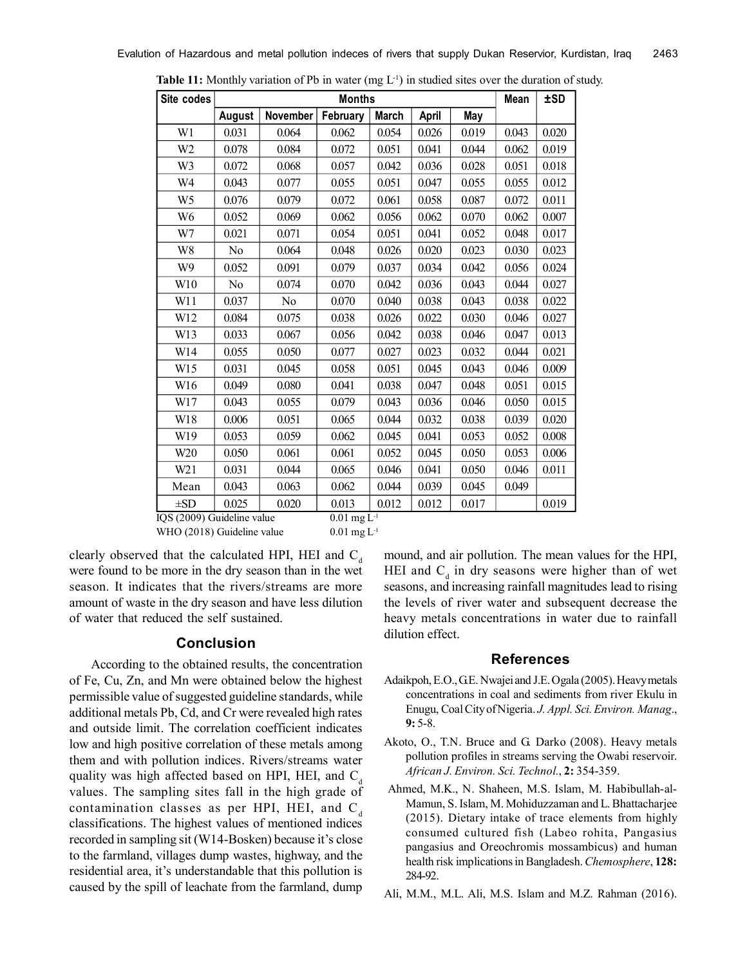| Site codes      |                |          | <b>Months</b> |              |       |       | Mean  | ±SD   |
|-----------------|----------------|----------|---------------|--------------|-------|-------|-------|-------|
|                 | <b>August</b>  | November | February      | <b>March</b> | April | May   |       |       |
| W1              | 0.031          | 0.064    | 0.062         | 0.054        | 0.026 | 0.019 | 0.043 | 0.020 |
| W <sub>2</sub>  | 0.078          | 0.084    | 0.072         | 0.051        | 0.041 | 0.044 | 0.062 | 0.019 |
| W3              | 0.072          | 0.068    | 0.057         | 0.042        | 0.036 | 0.028 | 0.051 | 0.018 |
| W4              | 0.043          | 0.077    | 0.055         | 0.051        | 0.047 | 0.055 | 0.055 | 0.012 |
| W <sub>5</sub>  | 0.076          | 0.079    | 0.072         | 0.061        | 0.058 | 0.087 | 0.072 | 0.011 |
| W6              | 0.052          | 0.069    | 0.062         | 0.056        | 0.062 | 0.070 | 0.062 | 0.007 |
| W7              | 0.021          | 0.071    | 0.054         | 0.051        | 0.041 | 0.052 | 0.048 | 0.017 |
| W8              | No             | 0.064    | 0.048         | 0.026        | 0.020 | 0.023 | 0.030 | 0.023 |
| W9              | 0.052          | 0.091    | 0.079         | 0.037        | 0.034 | 0.042 | 0.056 | 0.024 |
| W10             | N <sub>0</sub> | 0.074    | 0.070         | 0.042        | 0.036 | 0.043 | 0.044 | 0.027 |
| W11             | 0.037          | No       | 0.070         | 0.040        | 0.038 | 0.043 | 0.038 | 0.022 |
| W12             | 0.084          | 0.075    | 0.038         | 0.026        | 0.022 | 0.030 | 0.046 | 0.027 |
| W13             | 0.033          | 0.067    | 0.056         | 0.042        | 0.038 | 0.046 | 0.047 | 0.013 |
| W14             | 0.055          | 0.050    | 0.077         | 0.027        | 0.023 | 0.032 | 0.044 | 0.021 |
| W15             | 0.031          | 0.045    | 0.058         | 0.051        | 0.045 | 0.043 | 0.046 | 0.009 |
| W16             | 0.049          | 0.080    | 0.041         | 0.038        | 0.047 | 0.048 | 0.051 | 0.015 |
| W17             | 0.043          | 0.055    | 0.079         | 0.043        | 0.036 | 0.046 | 0.050 | 0.015 |
| W18             | 0.006          | 0.051    | 0.065         | 0.044        | 0.032 | 0.038 | 0.039 | 0.020 |
| W19             | 0.053          | 0.059    | 0.062         | 0.045        | 0.041 | 0.053 | 0.052 | 0.008 |
| W <sub>20</sub> | 0.050          | 0.061    | 0.061         | 0.052        | 0.045 | 0.050 | 0.053 | 0.006 |
| W21             | 0.031          | 0.044    | 0.065         | 0.046        | 0.041 | 0.050 | 0.046 | 0.011 |
| Mean            | 0.043          | 0.063    | 0.062         | 0.044        | 0.039 | 0.045 | 0.049 |       |
| $\pm SD$        | 0.025          | 0.020    | 0.013         | 0.012        | 0.012 | 0.017 |       | 0.019 |

**Table 11:** Monthly variation of Pb in water (mg  $L^{-1}$ ) in studied sites over the duration of study.

IQS (2009) Guideline value  $0.01 \text{ mg L}^{-1}$ WHO (2018) Guideline value  $0.01 \text{ mg L}^{-1}$ 

clearly observed that the calculated HPI, HEI and  $C_d$ were found to be more in the dry season than in the wet season. It indicates that the rivers/streams are more amount of waste in the dry season and have less dilution of water that reduced the self sustained.

# **Conclusion**

According to the obtained results, the concentration of Fe, Cu, Zn, and Mn were obtained below the highest permissible value of suggested guideline standards, while additional metals Pb, Cd, and Cr were revealed high rates and outside limit. The correlation coefficient indicates low and high positive correlation of these metals among them and with pollution indices. Rivers/streams water quality was high affected based on HPI, HEI, and  $C_d$ values. The sampling sites fall in the high grade of contamination classes as per HPI, HEI, and  $C_d$ classifications. The highest values of mentioned indices recorded in sampling sit (W14-Bosken) because it's close to the farmland, villages dump wastes, highway, and the residential area, it's understandable that this pollution is caused by the spill of leachate from the farmland, dump mound, and air pollution. The mean values for the HPI, HEI and  $C_d$  in dry seasons were higher than of wet seasons, and increasing rainfall magnitudes lead to rising the levels of river water and subsequent decrease the heavy metals concentrations in water due to rainfall dilution effect.

#### **References**

- Adaikpoh, E.O., G.E. Nwajei and J.E. Ogala (2005). Heavy metals concentrations in coal and sediments from river Ekulu in Enugu, Coal City of Nigeria. *J. Appl. Sci. Environ. Manag*., **9:** 5-8.
- Akoto, O., T.N. Bruce and G. Darko (2008). Heavy metals pollution profiles in streams serving the Owabi reservoir. *African J. Environ. Sci. Technol.*, **2:** 354-359.
- Ahmed, M.K., N. Shaheen, M.S. Islam, M. Habibullah-al-Mamun, S. Islam, M. Mohiduzzaman and L. Bhattacharjee (2015). Dietary intake of trace elements from highly consumed cultured fish (Labeo rohita, Pangasius pangasius and Oreochromis mossambicus) and human health risk implications in Bangladesh. *Chemosphere*, **128:** 284-92.
- Ali, M.M., M.L. Ali, M.S. Islam and M.Z. Rahman (2016).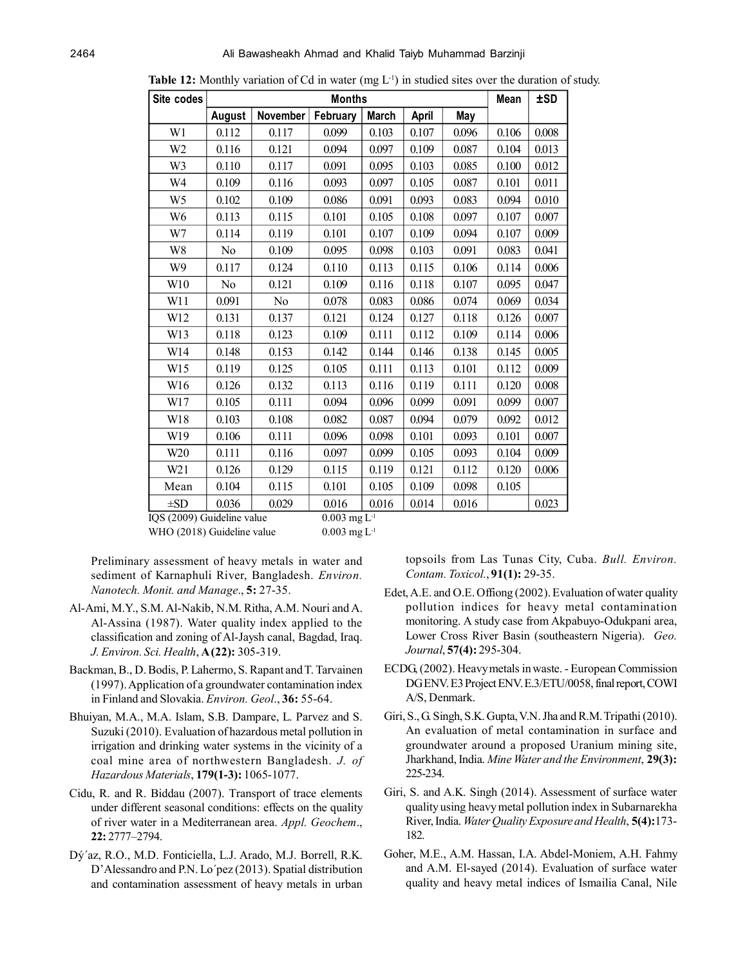| Site codes                   |               |                 | <b>Months</b> |                  |       |       | Mean  | <b>±SD</b> |
|------------------------------|---------------|-----------------|---------------|------------------|-------|-------|-------|------------|
|                              | <b>August</b> | <b>November</b> | February      | <b>March</b>     | April | May   |       |            |
| W1                           | 0.112         | 0.117           | 0.099         | 0.103            | 0.107 | 0.096 | 0.106 | 0.008      |
| W <sub>2</sub>               | 0.116         | 0.121           | 0.094         | 0.097            | 0.109 | 0.087 | 0.104 | 0.013      |
| W3                           | 0.110         | 0.117           | 0.091         | 0.095            | 0.103 | 0.085 | 0.100 | 0.012      |
| W4                           | 0.109         | 0.116           | 0.093         | 0.097            | 0.105 | 0.087 | 0.101 | 0.011      |
| W <sub>5</sub>               | 0.102         | 0.109           | 0.086         | 0.091            | 0.093 | 0.083 | 0.094 | 0.010      |
| W <sub>6</sub>               | 0.113         | 0.115           | 0.101         | 0.105            | 0.108 | 0.097 | 0.107 | 0.007      |
| W7                           | 0.114         | 0.119           | 0.101         | 0.107            | 0.109 | 0.094 | 0.107 | 0.009      |
| W8                           | No            | 0.109           | 0.095         | 0.098            | 0.103 | 0.091 | 0.083 | 0.041      |
| W9                           | 0.117         | 0.124           | 0.110         | 0.113            | 0.115 | 0.106 | 0.114 | 0.006      |
| W10                          | No            | 0.121           | 0.109         | 0.116            | 0.118 | 0.107 | 0.095 | 0.047      |
| W11                          | 0.091         | No              | 0.078         | 0.083            | 0.086 | 0.074 | 0.069 | 0.034      |
| W12                          | 0.131         | 0.137           | 0.121         | 0.124            | 0.127 | 0.118 | 0.126 | 0.007      |
| W13                          | 0.118         | 0.123           | 0.109         | 0.111            | 0.112 | 0.109 | 0.114 | 0.006      |
| W14                          | 0.148         | 0.153           | 0.142         | 0.144            | 0.146 | 0.138 | 0.145 | 0.005      |
| W15                          | 0.119         | 0.125           | 0.105         | 0.111            | 0.113 | 0.101 | 0.112 | 0.009      |
| W16                          | 0.126         | 0.132           | 0.113         | 0.116            | 0.119 | 0.111 | 0.120 | 0.008      |
| W17                          | 0.105         | 0.111           | 0.094         | 0.096            | 0.099 | 0.091 | 0.099 | 0.007      |
| W18                          | 0.103         | 0.108           | 0.082         | 0.087            | 0.094 | 0.079 | 0.092 | 0.012      |
| W19                          | 0.106         | 0.111           | 0.096         | 0.098            | 0.101 | 0.093 | 0.101 | 0.007      |
| W <sub>20</sub>              | 0.111         | 0.116           | 0.097         | 0.099            | 0.105 | 0.093 | 0.104 | 0.009      |
| W21                          | 0.126         | 0.129           | 0.115         | 0.119            | 0.121 | 0.112 | 0.120 | 0.006      |
| Mean                         | 0.104         | 0.115           | 0.101         | 0.105            | 0.109 | 0.098 | 0.105 |            |
| $\pm SD$<br>100 (2000000111) | 0.036         | 0.029           | 0.016         | 0.016<br>$T - 1$ | 0.014 | 0.016 |       | 0.023      |

**Table 12:** Monthly variation of Cd in water (mg L<sup>-1</sup>) in studied sites over the duration of study.

 $IQS (2009)$  Guideline value  $0.003$  mg L WHO (2018) Guideline value  $0.003 \text{ mg L}$ <sup>1</sup>

Preliminary assessment of heavy metals in water and sediment of Karnaphuli River, Bangladesh. *Environ. Nanotech. Monit. and Manage*., **5:** 27-35.

- Al-Ami, M.Y., S.M. Al-Nakib, N.M. Ritha, A.M. Nouri and A. Al-Assina (1987). Water quality index applied to the classification and zoning of Al-Jaysh canal, Bagdad, Iraq. *J. Environ. Sci. Health*, **A (22):** 305-319.
- Backman, B., D. Bodis, P. Lahermo, S. Rapant and T. Tarvainen (1997). Application of a groundwater contamination index in Finland and Slovakia. *Environ. Geol*., **36:** 55-64.
- Bhuiyan, M.A., M.A. Islam, S.B. Dampare, L. Parvez and S. Suzuki (2010). Evaluation of hazardous metal pollution in irrigation and drinking water systems in the vicinity of a coal mine area of northwestern Bangladesh. *J. of Hazardous Materials*, **179(1-3):** 1065-1077.
- Cidu, R. and R. Biddau (2007). Transport of trace elements under different seasonal conditions: effects on the quality of river water in a Mediterranean area. *Appl. Geochem*., **22:** 2777–2794.
- Dý´az, R.O., M.D. Fonticiella, L.J. Arado, M.J. Borrell, R.K. D'Alessandro and P.N. Lo´pez (2013). Spatial distribution and contamination assessment of heavy metals in urban

topsoils from Las Tunas City, Cuba. *Bull. Environ. Contam. Toxicol.*, **91(1):** 29-35.

- Edet, A.E. and O.E. Offiong (2002). Evaluation of water quality pollution indices for heavy metal contamination monitoring. A study case from Akpabuyo-Odukpani area, Lower Cross River Basin (southeastern Nigeria). *Geo. Journal*, **57(4):** 295-304.
- ECDG, (2002). Heavy metals in waste. European Commission DG ENV. E3 Project ENV. E.3/ETU/0058, final report, COWI A/S, Denmark.
- Giri, S., G. Singh, S.K. Gupta, V.N. Jha and R.M. Tripathi (2010). An evaluation of metal contamination in surface and groundwater around a proposed Uranium mining site, Jharkhand, India. *Mine Water and the Environment*, **29(3):** 225-234.
- Giri, S. and A.K. Singh (2014). Assessment of surface water quality using heavy metal pollution index in Subarnarekha River, India. *Water Quality Exposure and Health*, **5(4):**173- 182.
- Goher, M.E., A.M. Hassan, I.A. Abdel-Moniem, A.H. Fahmy and A.M. El-sayed (2014). Evaluation of surface water quality and heavy metal indices of Ismailia Canal, Nile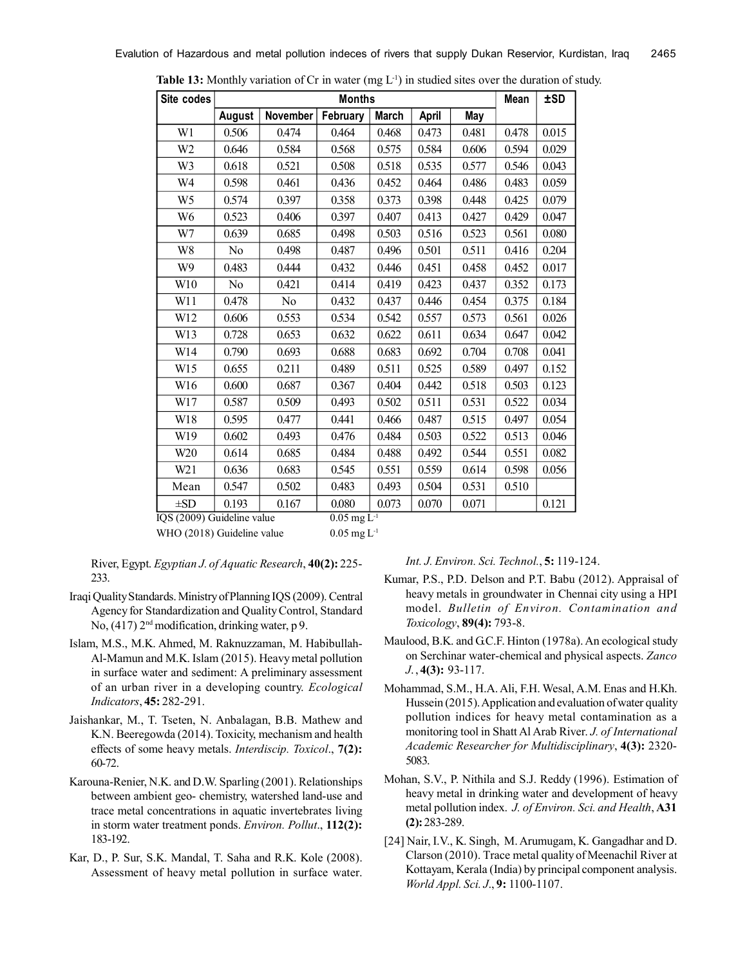| Site codes      | <b>Months</b>  |                |          |              |       |       | Mean  | <b>±SD</b> |
|-----------------|----------------|----------------|----------|--------------|-------|-------|-------|------------|
|                 | August         | November       | February | <b>March</b> | April | May   |       |            |
| W1              | 0.506          | 0.474          | 0.464    | 0.468        | 0.473 | 0.481 | 0.478 | 0.015      |
| W <sub>2</sub>  | 0.646          | 0.584          | 0.568    | 0.575        | 0.584 | 0.606 | 0.594 | 0.029      |
| W3              | 0.618          | 0.521          | 0.508    | 0.518        | 0.535 | 0.577 | 0.546 | 0.043      |
| W4              | 0.598          | 0.461          | 0.436    | 0.452        | 0.464 | 0.486 | 0.483 | 0.059      |
| W <sub>5</sub>  | 0.574          | 0.397          | 0.358    | 0.373        | 0.398 | 0.448 | 0.425 | 0.079      |
| W <sub>6</sub>  | 0.523          | 0.406          | 0.397    | 0.407        | 0.413 | 0.427 | 0.429 | 0.047      |
| W7              | 0.639          | 0.685          | 0.498    | 0.503        | 0.516 | 0.523 | 0.561 | 0.080      |
| W8              | N <sub>0</sub> | 0.498          | 0.487    | 0.496        | 0.501 | 0.511 | 0.416 | 0.204      |
| W <sub>9</sub>  | 0.483          | 0.444          | 0.432    | 0.446        | 0.451 | 0.458 | 0.452 | 0.017      |
| W10             | No             | 0.421          | 0.414    | 0.419        | 0.423 | 0.437 | 0.352 | 0.173      |
| W11             | 0.478          | N <sub>0</sub> | 0.432    | 0.437        | 0.446 | 0.454 | 0.375 | 0.184      |
| W12             | 0.606          | 0.553          | 0.534    | 0.542        | 0.557 | 0.573 | 0.561 | 0.026      |
| W13             | 0.728          | 0.653          | 0.632    | 0.622        | 0.611 | 0.634 | 0.647 | 0.042      |
| W14             | 0.790          | 0.693          | 0.688    | 0.683        | 0.692 | 0.704 | 0.708 | 0.041      |
| W15             | 0.655          | 0.211          | 0.489    | 0.511        | 0.525 | 0.589 | 0.497 | 0.152      |
| W16             | 0.600          | 0.687          | 0.367    | 0.404        | 0.442 | 0.518 | 0.503 | 0.123      |
| W17             | 0.587          | 0.509          | 0.493    | 0.502        | 0.511 | 0.531 | 0.522 | 0.034      |
| W18             | 0.595          | 0.477          | 0.441    | 0.466        | 0.487 | 0.515 | 0.497 | 0.054      |
| W19             | 0.602          | 0.493          | 0.476    | 0.484        | 0.503 | 0.522 | 0.513 | 0.046      |
| W <sub>20</sub> | 0.614          | 0.685          | 0.484    | 0.488        | 0.492 | 0.544 | 0.551 | 0.082      |
| W21             | 0.636          | 0.683          | 0.545    | 0.551        | 0.559 | 0.614 | 0.598 | 0.056      |
| Mean            | 0.547          | 0.502          | 0.483    | 0.493        | 0.504 | 0.531 | 0.510 |            |
| $\pm SD$        | 0.193          | 0.167          | 0.080    | 0.073        | 0.070 | 0.071 |       | 0.121      |

**Table 13:** Monthly variation of Cr in water (mg  $L^{-1}$ ) in studied sites over the duration of study.

IQS (2009) Guideline value  $0.05 \text{ mg L}^{-1}$ WHO (2018) Guideline value  $0.05 \text{ mg L}^{-1}$ 

River, Egypt. *Egyptian J. of Aquatic Research*, **40(2):** 225- 233.

- Iraqi Quality Standards. Ministry of Planning IQS (2009). Central Agency for Standardization and Quality Control, Standard No,  $(417)$   $2<sup>nd</sup>$  modification, drinking water, p 9.
- Islam, M.S., M.K. Ahmed, M. Raknuzzaman, M. Habibullah-Al-Mamun and M.K. Islam (2015). Heavy metal pollution in surface water and sediment: A preliminary assessment of an urban river in a developing country. *Ecological Indicators*, **45:** 282-291.
- Jaishankar, M., T. Tseten, N. Anbalagan, B.B. Mathew and K.N. Beeregowda (2014). Toxicity, mechanism and health effects of some heavy metals. *Interdiscip. Toxicol*., **7(2):** 60-72.
- Karouna-Renier, N.K. and D.W. Sparling (2001). Relationships between ambient geo- chemistry, watershed land-use and trace metal concentrations in aquatic invertebrates living in storm water treatment ponds. *Environ. Pollut*., **112(2):** 183-192.
- Kar, D., P. Sur, S.K. Mandal, T. Saha and R.K. Kole (2008). Assessment of heavy metal pollution in surface water.

*Int. J. Environ. Sci. Technol.*, **5:** 119-124.

- Kumar, P.S., P.D. Delson and P.T. Babu (2012). Appraisal of heavy metals in groundwater in Chennai city using a HPI model. *Bulletin of Environ. Contamination and Toxicology*, **89(4):** 793-8.
- Maulood, B.K. and G.C.F. Hinton (1978a). An ecological study on Serchinar water-chemical and physical aspects. *Zanco J*. , **4(3):** 93-117.
- Mohammad, S.M., H.A. Ali, F.H. Wesal, A.M. Enas and H.Kh. Hussein (2015). Application and evaluation of water quality pollution indices for heavy metal contamination as a monitoring tool in Shatt Al Arab River. *J. of International Academic Researcher for Multidisciplinary*, **4(3):** 2320- 5083.
- Mohan, S.V., P. Nithila and S.J. Reddy (1996). Estimation of heavy metal in drinking water and development of heavy metal pollution index. *J. of Environ. Sci. and Health*, **A31 (2):** 283-289.
- [24] Nair, I.V., K. Singh, M. Arumugam, K. Gangadhar and D. Clarson (2010). Trace metal quality of Meenachil River at Kottayam, Kerala (India) by principal component analysis. *World Appl. Sci. J*., **9:** 1100-1107.